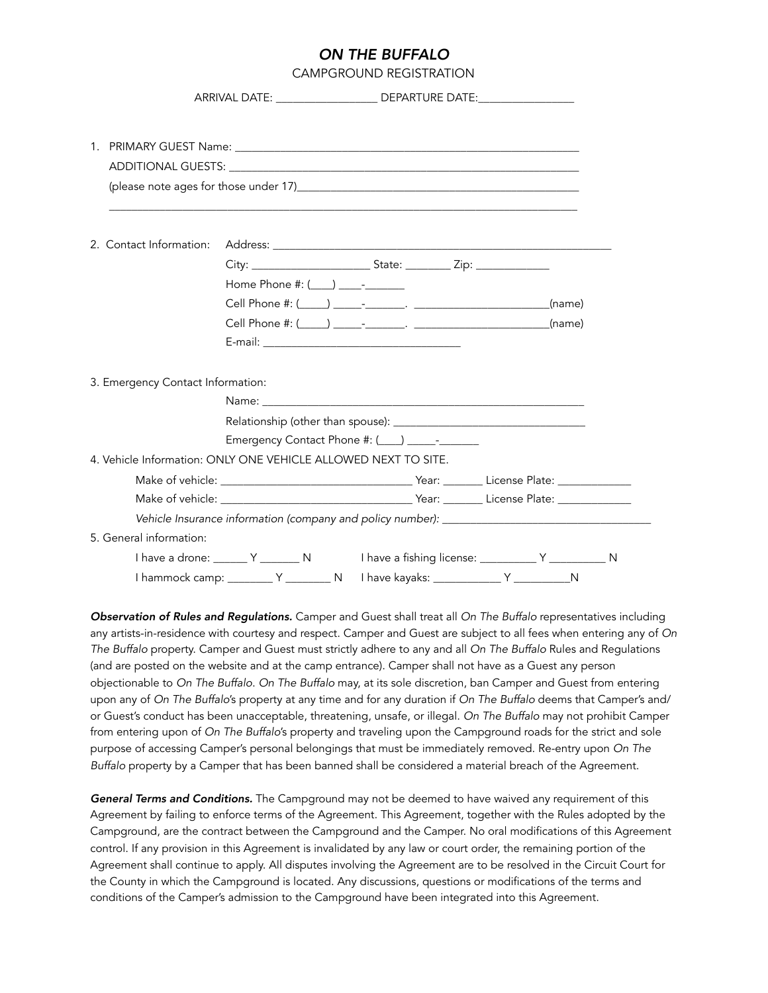## *ON THE BUFFALO*

CAMPGROUND REGISTRATION

|                                   | ARRIVAL DATE: __________________________ DEPARTURE DATE: _______________________                                                                                                                                               |  |  |  |
|-----------------------------------|--------------------------------------------------------------------------------------------------------------------------------------------------------------------------------------------------------------------------------|--|--|--|
|                                   |                                                                                                                                                                                                                                |  |  |  |
|                                   |                                                                                                                                                                                                                                |  |  |  |
|                                   |                                                                                                                                                                                                                                |  |  |  |
|                                   | (please note ages for those under 17) [2010] [2010] [2010] [2010] [2010] [2010] [2010] [2010] [2010] [2010] [2010] [2010] [2010] [2010] [2010] [2010] [2010] [2010] [2010] [2010] [2010] [2010] [2010] [2010] [2010] [2010] [2 |  |  |  |
|                                   | ,我们也不会有什么。""我们的人,我们也不会有什么?""我们的人,我们也不会有什么?""我们的人,我们也不会有什么?""我们的人,我们也不会有什么?""我们的人                                                                                                                                               |  |  |  |
| 2. Contact Information:           |                                                                                                                                                                                                                                |  |  |  |
|                                   |                                                                                                                                                                                                                                |  |  |  |
|                                   | Home Phone #: $($ $)$ $ -$                                                                                                                                                                                                     |  |  |  |
|                                   |                                                                                                                                                                                                                                |  |  |  |
|                                   |                                                                                                                                                                                                                                |  |  |  |
|                                   |                                                                                                                                                                                                                                |  |  |  |
|                                   |                                                                                                                                                                                                                                |  |  |  |
| 3. Emergency Contact Information: |                                                                                                                                                                                                                                |  |  |  |
|                                   |                                                                                                                                                                                                                                |  |  |  |
|                                   |                                                                                                                                                                                                                                |  |  |  |
|                                   | Emergency Contact Phone #: (___) _____-____                                                                                                                                                                                    |  |  |  |
|                                   | 4. Vehicle Information: ONLY ONE VEHICLE ALLOWED NEXT TO SITE.                                                                                                                                                                 |  |  |  |
|                                   |                                                                                                                                                                                                                                |  |  |  |
|                                   |                                                                                                                                                                                                                                |  |  |  |
|                                   |                                                                                                                                                                                                                                |  |  |  |
| 5. General information:           |                                                                                                                                                                                                                                |  |  |  |
|                                   | I have a drone: _______ Y ________ N I have a fishing license: __________ Y __________ N                                                                                                                                       |  |  |  |
|                                   | I hammock camp: __________ Y _________ N   have kayaks: _____________ Y ____________ N                                                                                                                                         |  |  |  |

*Observation of Rules and Regulations.* Camper and Guest shall treat all *On The Buffalo* representatives including any artists-in-residence with courtesy and respect. Camper and Guest are subject to all fees when entering any of *On The Buffalo* property. Camper and Guest must strictly adhere to any and all *On The Buffalo* Rules and Regulations (and are posted on the website and at the camp entrance). Camper shall not have as a Guest any person objectionable to *On The Buffalo*. *On The Buffalo* may, at its sole discretion, ban Camper and Guest from entering upon any of *On The Buffalo*'s property at any time and for any duration if *On The Buffalo* deems that Camper's and/ or Guest's conduct has been unacceptable, threatening, unsafe, or illegal. *On The Buffalo* may not prohibit Camper from entering upon of *On The Buffalo*'s property and traveling upon the Campground roads for the strict and sole purpose of accessing Camper's personal belongings that must be immediately removed. Re-entry upon *On The Buffalo* property by a Camper that has been banned shall be considered a material breach of the Agreement.

*General Terms and Conditions.* The Campground may not be deemed to have waived any requirement of this Agreement by failing to enforce terms of the Agreement. This Agreement, together with the Rules adopted by the Campground, are the contract between the Campground and the Camper. No oral modifications of this Agreement control. If any provision in this Agreement is invalidated by any law or court order, the remaining portion of the Agreement shall continue to apply. All disputes involving the Agreement are to be resolved in the Circuit Court for the County in which the Campground is located. Any discussions, questions or modifications of the terms and conditions of the Camper's admission to the Campground have been integrated into this Agreement.